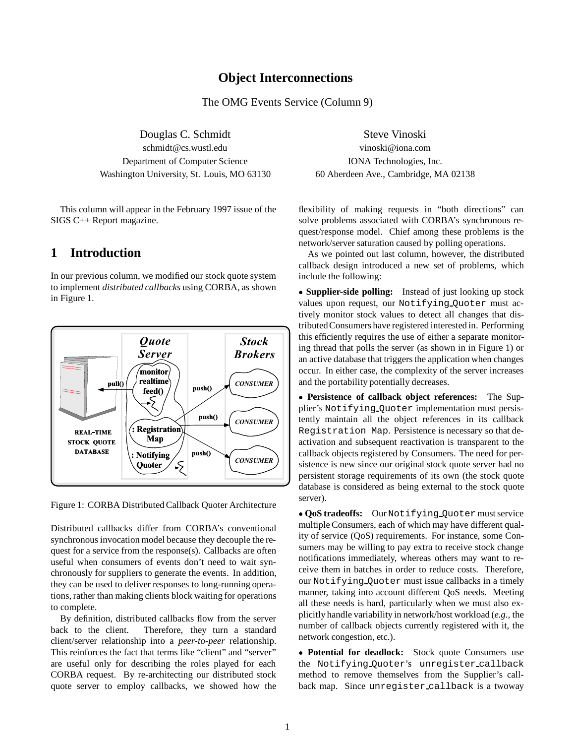### **Object Interconnections**

The OMG Events Service (Column 9)

Douglas C. Schmidt Steve Vinoski schmidt@cs.wustl.edu vinoski@iona.com Department of Computer Science IONA Technologies, Inc. Washington University, St. Louis, MO 63130 60 Aberdeen Ave., Cambridge, MA 02138

This column will appear in the February 1997 issue of the SIGS C++ Report magazine.

## **1 Introduction**

In our previous column, we modified our stock quote system to implement *distributed callbacks* using CORBA, as shown in Figure 1.



Figure 1: CORBA Distributed Callback Quoter Architecture

Distributed callbacks differ from CORBA's conventional synchronous invocation model because they decouple the request for a service from the response(s). Callbacks are often useful when consumers of events don't need to wait synchronously for suppliers to generate the events. In addition, they can be used to deliver responses to long-running operations, rather than making clients block waiting for operations to complete.

By definition, distributed callbacks flow from the server back to the client. Therefore, they turn a standard client/server relationship into a *peer-to-peer* relationship. This reinforces the fact that terms like "client" and "server" are useful only for describing the roles played for each CORBA request. By re-architecting our distributed stock quote server to employ callbacks, we showed how the

flexibility of making requests in "both directions" can solve problems associated with CORBA's synchronous request/response model. Chief among these problems is the network/server saturation caused by polling operations.

As we pointed out last column, however, the distributed callback design introduced a new set of problems, which include the following:

 **Supplier-side polling:** Instead of just looking up stock values upon request, our Notifying Quoter must actively monitor stock values to detect all changes that distributedConsumers have registered interested in. Performing this efficiently requires the use of either a separate monitoring thread that polls the server (as shown in in Figure 1) or an active database that triggers the application when changes occur. In either case, the complexity of the server increases and the portability potentially decreases.

 **Persistence of callback object references:** The Supplier's Notifying Quoter implementation must persistently maintain all the object references in its callback Registration Map. Persistence is necessary so that deactivation and subsequent reactivation is transparent to the callback objects registered by Consumers. The need for persistence is new since our original stock quote server had no persistent storage requirements of its own (the stock quote database is considered as being external to the stock quote server).

 **QoS tradeoffs:** Our Notifying Quoter must service multiple Consumers, each of which may have different quality of service (QoS) requirements. For instance, some Consumers may be willing to pay extra to receive stock change notifications immediately, whereas others may want to receive them in batches in order to reduce costs. Therefore, our Notifying Quoter must issue callbacks in a timely manner, taking into account different QoS needs. Meeting all these needs is hard, particularly when we must also explicitly handle variability in network/host workload (*e.g.,* the number of callback objects currently registered with it, the network congestion, etc.).

 **Potential for deadlock:** Stock quote Consumers use the Notifying Quoter's unregister callback method to remove themselves from the Supplier's callback map. Since unregister callback is a twoway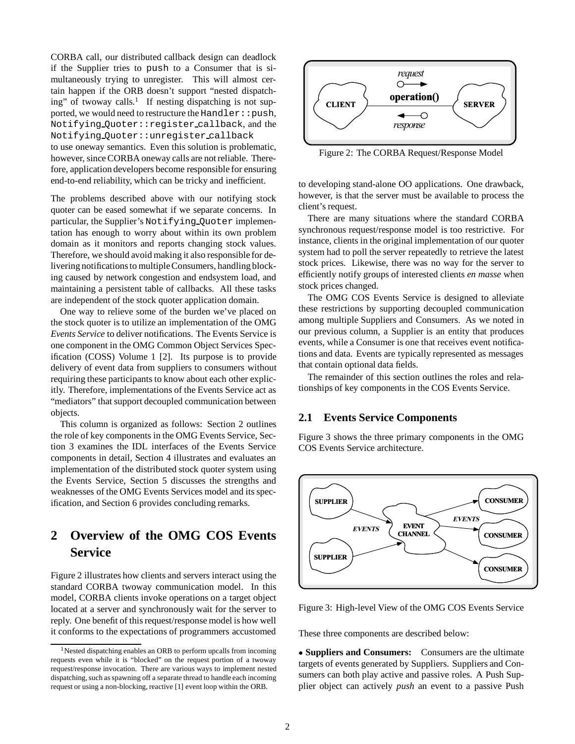CORBA call, our distributed callback design can deadlock if the Supplier tries to push to a Consumer that is simultaneously trying to unregister. This will almost certain happen if the ORB doesn't support "nested dispatching" of twoway calls.<sup>1</sup> If nesting dispatching is not supported, we would need to restructure the Handler: : push, Notifying Quoter::register callback, and the Notifying Quoter::unregister callback to use oneway semantics. Even this solution is problematic, however, since CORBA oneway calls are not reliable. Therefore, application developers become responsible for ensuring end-to-end reliability, which can be tricky and inefficient.

The problems described above with our notifying stock quoter can be eased somewhat if we separate concerns. In particular, the Supplier's Notifying Quoter implementation has enough to worry about within its own problem domain as it monitors and reports changing stock values. Therefore, we should avoid making it also responsible for delivering notifications to multiple Consumers, handling blocking caused by network congestion and endsystem load, and maintaining a persistent table of callbacks. All these tasks are independent of the stock quoter application domain.

One way to relieve some of the burden we've placed on the stock quoter is to utilize an implementation of the OMG *Events Service* to deliver notifications. The Events Service is one component in the OMG Common Object Services Specification (COSS) Volume 1 [2]. Its purpose is to provide delivery of event data from suppliers to consumers without requiring these participants to know about each other explicitly. Therefore, implementations of the Events Service act as "mediators" that support decoupled communication between objects.

This column is organized as follows: Section 2 outlines the role of key components in the OMG Events Service, Section 3 examines the IDL interfaces of the Events Service components in detail, Section 4 illustrates and evaluates an implementation of the distributed stock quoter system using the Events Service, Section 5 discusses the strengths and weaknesses of the OMG Events Services model and its specification, and Section 6 provides concluding remarks.

# **2 Overview of the OMG COS Events Service**

Figure 2 illustrates how clients and servers interact using the standard CORBA twoway communication model. In this model, CORBA clients invoke operations on a target object located at a server and synchronously wait for the server to reply. One benefit of this request/response model is how well it conforms to the expectations of programmers accustomed



Figure 2: The CORBA Request/Response Model

to developing stand-alone OO applications. One drawback, however, is that the server must be available to process the client's request.

There are many situations where the standard CORBA synchronous request/response model is too restrictive. For instance, clients in the original implementation of our quoter system had to poll the server repeatedly to retrieve the latest stock prices. Likewise, there was no way for the server to efficiently notify groups of interested clients *en masse* when stock prices changed.

The OMG COS Events Service is designed to alleviate these restrictions by supporting decoupled communication among multiple Suppliers and Consumers. As we noted in our previous column, a Supplier is an entity that produces events, while a Consumer is one that receives event notifications and data. Events are typically represented as messages that contain optional data fields.

The remainder of this section outlines the roles and relationships of key components in the COS Events Service.

#### **2.1 Events Service Components**

Figure 3 shows the three primary components in the OMG COS Events Service architecture.



Figure 3: High-level View of the OMG COS Events Service

These three components are described below:

 **Suppliers and Consumers:** Consumers are the ultimate targets of events generated by Suppliers. Suppliers and Consumers can both play active and passive roles. A Push Supplier object can actively *push* an event to a passive Push

 $1$ Nested dispatching enables an ORB to perform upcalls from incoming requests even while it is "blocked" on the request portion of a twoway request/response invocation. There are various ways to implement nested dispatching, such as spawning off a separate thread to handle each incoming request or using a non-blocking, reactive [1] event loop within the ORB.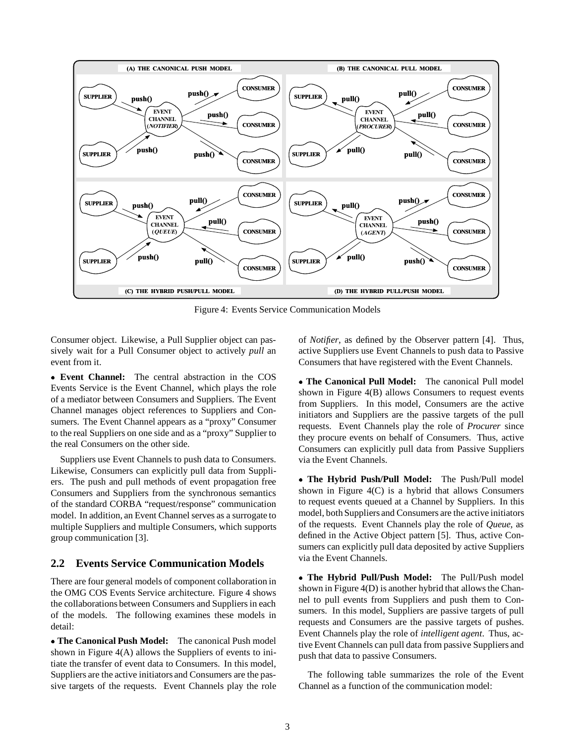

Figure 4: Events Service Communication Models

Consumer object. Likewise, a Pull Supplier object can passively wait for a Pull Consumer object to actively *pull* an event from it.

 **Event Channel:** The central abstraction in the COS Events Service is the Event Channel, which plays the role of a mediator between Consumers and Suppliers. The Event Channel manages object references to Suppliers and Consumers. The Event Channel appears as a "proxy" Consumer to the real Suppliers on one side and as a "proxy" Supplier to the real Consumers on the other side.

Suppliers use Event Channels to push data to Consumers. Likewise, Consumers can explicitly pull data from Suppliers. The push and pull methods of event propagation free Consumers and Suppliers from the synchronous semantics of the standard CORBA "request/response" communication model. In addition, an Event Channel serves as a surrogate to multiple Suppliers and multiple Consumers, which supports group communication [3].

### **2.2 Events Service Communication Models**

There are four general models of component collaboration in the OMG COS Events Service architecture. Figure 4 shows the collaborations between Consumers and Suppliers in each of the models. The following examines these models in detail:

 **The Canonical Push Model:** The canonical Push model shown in Figure 4(A) allows the Suppliers of events to initiate the transfer of event data to Consumers. In this model, Suppliers are the active initiators and Consumers are the passive targets of the requests. Event Channels play the role of *Notifier*, as defined by the Observer pattern [4]. Thus, active Suppliers use Event Channels to push data to Passive Consumers that have registered with the Event Channels.

 **The Canonical Pull Model:** The canonical Pull model shown in Figure 4(B) allows Consumers to request events from Suppliers. In this model, Consumers are the active initiators and Suppliers are the passive targets of the pull requests. Event Channels play the role of *Procurer* since they procure events on behalf of Consumers. Thus, active Consumers can explicitly pull data from Passive Suppliers via the Event Channels.

 **The Hybrid Push/Pull Model:** The Push/Pull model shown in Figure 4(C) is a hybrid that allows Consumers to request events queued at a Channel by Suppliers. In this model, both Suppliers and Consumers are the active initiators of the requests. Event Channels play the role of *Queue*, as defined in the Active Object pattern [5]. Thus, active Consumers can explicitly pull data deposited by active Suppliers via the Event Channels.

 **The Hybrid Pull/Push Model:** The Pull/Push model shown in Figure 4(D) is another hybrid that allows the Channel to pull events from Suppliers and push them to Consumers. In this model, Suppliers are passive targets of pull requests and Consumers are the passive targets of pushes. Event Channels play the role of *intelligent agent*. Thus, active Event Channels can pull data from passive Suppliers and push that data to passive Consumers.

The following table summarizes the role of the Event Channel as a function of the communication model: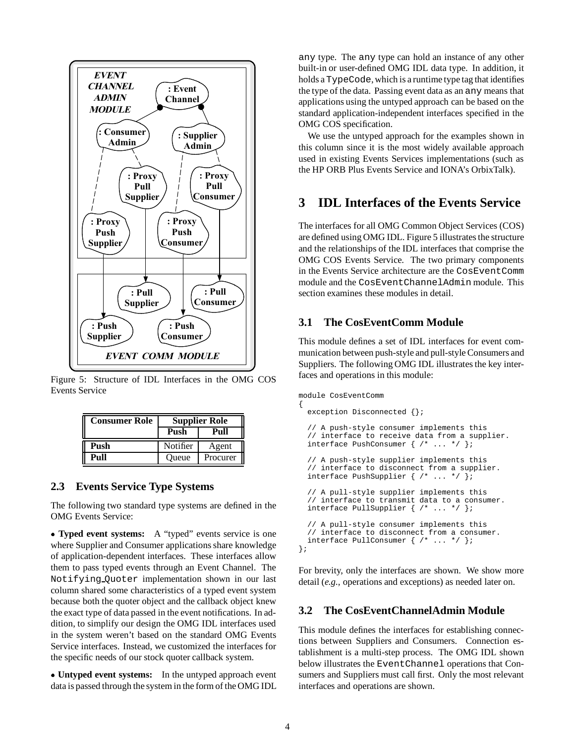

Figure 5: Structure of IDL Interfaces in the OMG COS Events Service

| <b>Consumer Role</b> | <b>Supplier Role</b> |          |
|----------------------|----------------------|----------|
|                      | Push                 | Pull     |
| Push                 | Notifier             | Agent    |
| Pull                 | Oueue                | Procurer |

### **2.3 Events Service Type Systems**

The following two standard type systems are defined in the OMG Events Service:

 **Typed event systems:** A "typed" events service is one where Supplier and Consumer applications share knowledge of application-dependent interfaces. These interfaces allow them to pass typed events through an Event Channel. The Notifying Quoter implementation shown in our last column shared some characteristics of a typed event system because both the quoter object and the callback object knew the exact type of data passed in the event notifications. In addition, to simplify our design the OMG IDL interfaces used in the system weren't based on the standard OMG Events Service interfaces. Instead, we customized the interfaces for the specific needs of our stock quoter callback system.

 **Untyped event systems:** In the untyped approach event data is passed through the system in the form of the OMG IDL any type. The any type can hold an instance of any other built-in or user-defined OMG IDL data type. In addition, it holds a TypeCode, which is a runtime type tag that identifies the type of the data. Passing event data as an any means that applications using the untyped approach can be based on the standard application-independent interfaces specified in the OMG COS specification.

We use the untyped approach for the examples shown in this column since it is the most widely available approach used in existing Events Services implementations (such as the HP ORB Plus Events Service and IONA's OrbixTalk).

# **3 IDL Interfaces of the Events Service**

The interfaces for all OMG Common Object Services (COS) are defined using OMG IDL. Figure 5 illustrates the structure and the relationships of the IDL interfaces that comprise the OMG COS Events Service. The two primary components in the Events Service architecture are the CosEventComm module and the CosEventChannelAdmin module. This section examines these modules in detail.

## **3.1 The CosEventComm Module**

This module defines a set of IDL interfaces for event communication between push-style and pull-style Consumers and Suppliers. The following OMG IDL illustrates the key interfaces and operations in this module:

```
module CosEventComm
```

```
{
 exception Disconnected {};
  // A push-style consumer implements this
  // interface to receive data from a supplier.
 interface PushConsumer \{ / * ... * / \};
  // A push-style supplier implements this
  // interface to disconnect from a supplier.
 interface PushSupplier \{ / * ... * / \}// A pull-style supplier implements this
  // interface to transmit data to a consumer.
 interface PullSupplier { /* ... */ };
  // A pull-style consumer implements this
  // interface to disconnect from a consumer.
 interface PullConsumer \{ /* ... */ };
};
```
For brevity, only the interfaces are shown. We show more detail (*e.g.,* operations and exceptions) as needed later on.

### **3.2 The CosEventChannelAdmin Module**

This module defines the interfaces for establishing connections between Suppliers and Consumers. Connection establishment is a multi-step process. The OMG IDL shown below illustrates the EventChannel operations that Consumers and Suppliers must call first. Only the most relevant interfaces and operations are shown.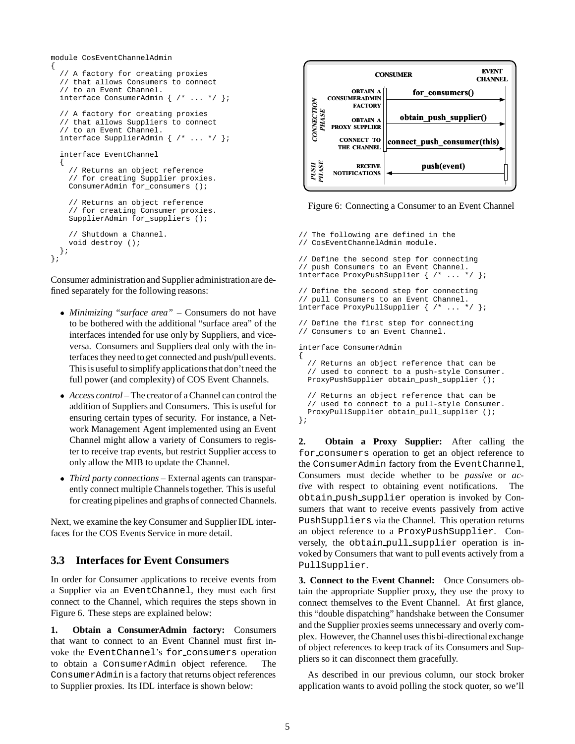```
module CosEventChannelAdmin
{
  // A factory for creating proxies
  // that allows Consumers to connect
  // to an Event Channel.
  interface ConsumerAdmin { /* ... */ };
  // A factory for creating proxies
  // that allows Suppliers to connect
  // to an Event Channel.
  interface SupplierAdmin { /* ... */ };
  interface EventChannel
  {
    // Returns an object reference
    // for creating Supplier proxies.
    ConsumerAdmin for_consumers ();
    // Returns an object reference
    // for creating Consumer proxies.
    SupplierAdmin for_suppliers ();
    // Shutdown a Channel.
    void destroy ();
 };
};
```
Consumer administration and Supplier administrationare defined separately for the following reasons:

- *Minimizing "surface area"* Consumers do not have to be bothered with the additional "surface area" of the interfaces intended for use only by Suppliers, and viceversa. Consumers and Suppliers deal only with the interfaces they need to get connected and push/pull events. This is useful to simplify applications that don't need the full power (and complexity) of COS Event Channels.
- *Access control* The creator of a Channel can control the addition of Suppliers and Consumers. This is useful for ensuring certain types of security. For instance, a Network Management Agent implemented using an Event Channel might allow a variety of Consumers to register to receive trap events, but restrict Supplier access to only allow the MIB to update the Channel.
- *Third party connections* External agents can transparently connect multiple Channels together. This is useful for creating pipelines and graphs of connected Channels.

Next, we examine the key Consumer and Supplier IDL interfaces for the COS Events Service in more detail.

### **3.3 Interfaces for Event Consumers**

In order for Consumer applications to receive events from a Supplier via an EventChannel, they must each first connect to the Channel, which requires the steps shown in Figure 6. These steps are explained below:

**1. Obtain a ConsumerAdmin factory:** Consumers that want to connect to an Event Channel must first invoke the EventChannel's for consumers operation to obtain a ConsumerAdmin object reference. The ConsumerAdmin is a factory that returns object references to Supplier proxies. Its IDL interface is shown below:



Figure 6: Connecting a Consumer to an Event Channel

```
// The following are defined in the
// CosEventChannelAdmin module.
// Define the second step for connecting
// push Consumers to an Event Channel.
interface ProxyPushSupplier { /* \ldots */// Define the second step for connecting
// pull Consumers to an Event Channel.
interface ProxyPullSupplier { /* ... */ };
// Define the first step for connecting
// Consumers to an Event Channel.
interface ConsumerAdmin
{
  // Returns an object reference that can be
  // used to connect to a push-style Consumer.
 ProxyPushSupplier obtain push supplier ();
  // Returns an object reference that can be
 // used to connect to a pull-style Consumer.
 ProxyPullSupplier obtain_pull_supplier ();
```

```
};
```
**2. Obtain a Proxy Supplier:** After calling the for consumers operation to get an object reference to the ConsumerAdmin factory from the EventChannel, Consumers must decide whether to be *passive* or *active* with respect to obtaining event notifications. The obtain push supplier operation is invoked by Consumers that want to receive events passively from active PushSuppliers via the Channel. This operation returns an object reference to a ProxyPushSupplier. Conversely, the obtain pull supplier operation is invoked by Consumers that want to pull events actively from a PullSupplier.

**3. Connect to the Event Channel:** Once Consumers obtain the appropriate Supplier proxy, they use the proxy to connect themselves to the Event Channel. At first glance, this "double dispatching" handshake between the Consumer and the Supplier proxies seems unnecessary and overly complex. However, the Channel uses this bi-directionalexchange of object references to keep track of its Consumers and Suppliers so it can disconnect them gracefully.

As described in our previous column, our stock broker application wants to avoid polling the stock quoter, so we'll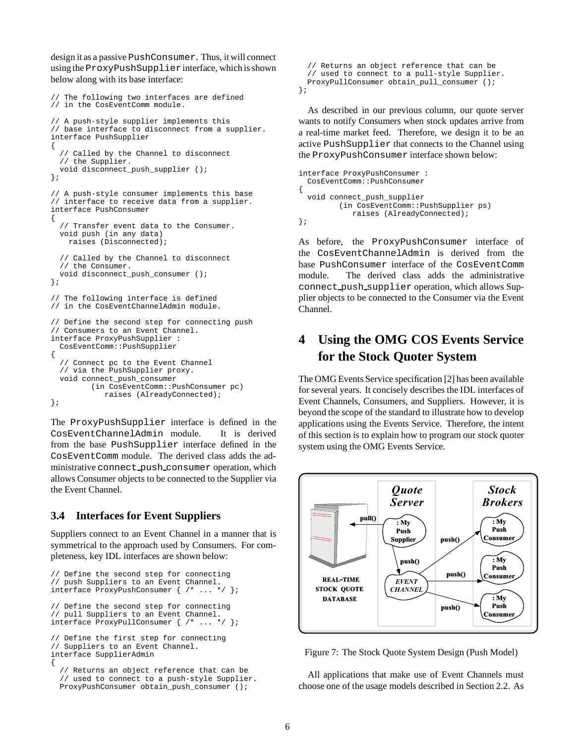design it as a passive PushConsumer. Thus, it will connect using the ProxyPushSupplierinterface, which is shown below along with its base interface:

```
// The following two interfaces are defined
// in the CosEventComm module.
// A push-style supplier implements this
// base interface to disconnect from a supplier.
interface PushSupplier
{
  // Called by the Channel to disconnect
  // the Supplier.
 void disconnect_push_supplier ();
};
// A push-style consumer implements this base
// interface to receive data from a supplier.
interface PushConsumer
{
  // Transfer event data to the Consumer.
 void push (in any data)
    raises (Disconnected);
  // Called by the Channel to disconnect
  // the Consumer.
  void disconnect_push_consumer ();
};
// The following interface is defined
// in the CosEventChannelAdmin module.
// Define the second step for connecting push
// Consumers to an Event Channel.
interface ProxyPushSupplier :
  CosEventComm::PushSupplier
{
  // Connect pc to the Event Channel
  // via the PushSupplier proxy.
  void connect_push_consumer
         (in CosEventComm::PushConsumer pc)
            raises (AlreadyConnected);
};
```
The ProxyPushSupplier interface is defined in the CosEventChannelAdmin module. It is derived from the base PushSupplier interface defined in the CosEventComm module. The derived class adds the administrative connect push consumer operation, which allows Consumer objects to be connected to the Supplier via the Event Channel.

### **3.4 Interfaces for Event Suppliers**

Suppliers connect to an Event Channel in a manner that is symmetrical to the approach used by Consumers. For completeness, key IDL interfaces are shown below:

```
// Define the second step for connecting
// push Suppliers to an Event Channel.
interface ProxyPushConsumer { /* ... */ };
// Define the second step for connecting
// pull Suppliers to an Event Channel.
interface ProxyPullConsumer { /* ... */ };
// Define the first step for connecting
// Suppliers to an Event Channel.
interface SupplierAdmin
{
  // Returns an object reference that can be
  // used to connect to a push-style Supplier.
```
ProxyPushConsumer obtain\_push\_consumer ();

```
// Returns an object reference that can be
  // used to connect to a pull-style Supplier.
 ProxyPullConsumer obtain_pull_consumer ();
};
```
As described in our previous column, our quote server wants to notify Consumers when stock updates arrive from a real-time market feed. Therefore, we design it to be an active PushSupplier that connects to the Channel using the ProxyPushConsumer interface shown below:

```
interface ProxyPushConsumer :
 CosEventComm::PushConsumer
{
 void connect_push_supplier
         (in CosEventComm::PushSupplier ps)
            raises (AlreadyConnected);
};
```
As before, the ProxyPushConsumer interface of the CosEventChannelAdmin is derived from the base PushConsumer interface of the CosEventComm module. The derived class adds the administrative connect push supplier operation, which allows Supplier objects to be connected to the Consumer via the Event Channel.

# **4 Using the OMG COS Events Service for the Stock Quoter System**

The OMG Events Service specification [2] has been available for several years. It concisely describes the IDL interfaces of Event Channels, Consumers, and Suppliers. However, it is beyond the scope of the standard to illustrate how to develop applications using the Events Service. Therefore, the intent of this section is to explain how to program our stock quoter system using the OMG Events Service.



Figure 7: The Stock Quote System Design (Push Model)

All applications that make use of Event Channels must choose one of the usage models described in Section 2.2. As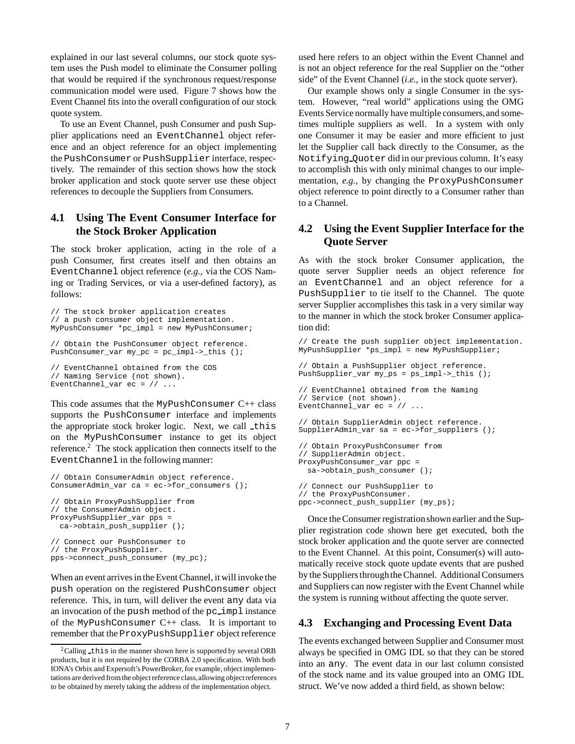explained in our last several columns, our stock quote system uses the Push model to eliminate the Consumer polling that would be required if the synchronous request/response communication model were used. Figure 7 shows how the Event Channel fits into the overall configuration of our stock quote system.

To use an Event Channel, push Consumer and push Supplier applications need an EventChannel object reference and an object reference for an object implementing the PushConsumer or PushSupplier interface, respectively. The remainder of this section shows how the stock broker application and stock quote server use these object references to decouple the Suppliers from Consumers.

### **4.1 Using The Event Consumer Interface for the Stock Broker Application**

The stock broker application, acting in the role of a push Consumer, first creates itself and then obtains an EventChannel object reference (*e.g.,* via the COS Naming or Trading Services, or via a user-defined factory), as follows:

```
// The stock broker application creates
// a push consumer object implementation.
MyPushConsumer *pc_impl = new MyPushConsumer;
// Obtain the PushConsumer object reference.
PushConsumer_var my_pc = pc_impl->_this ();
// EventChannel obtained from the COS
// Naming Service (not shown).
EventChannel_var ec = // ...
```
This code assumes that the MyPushConsumer  $C++$  class supports the PushConsumer interface and implements the appropriate stock broker logic. Next, we call this on the MyPushConsumer instance to get its object reference.2 The stock application then connects itself to the EventChannel in the following manner:

```
// Obtain ConsumerAdmin object reference.
ConsumerAdmin_var ca = ec->for_consumers ();
// Obtain ProxyPushSupplier from
// the ConsumerAdmin object.
ProxyPushSupplier_var pps =
 ca->obtain_push_supplier ();
// Connect our PushConsumer to
// the ProxyPushSupplier.
pps->connect_push_consumer (my_pc);
```
When an event arrives in the Event Channel, it will invoke the push operation on the registered PushConsumer object reference. This, in turn, will deliver the event any data via an invocation of the push method of the pc impl instance of the MyPushConsumer C++ class. It is important to remember that the ProxyPushSupplier object reference

used here refers to an object within the Event Channel and is not an object reference for the real Supplier on the "other side" of the Event Channel (*i.e.,* in the stock quote server).

Our example shows only a single Consumer in the system. However, "real world" applications using the OMG Events Service normally have multiple consumers,and sometimes multiple suppliers as well. In a system with only one Consumer it may be easier and more efficient to just let the Supplier call back directly to the Consumer, as the Notifying Quoter did in our previous column. It's easy to accomplish this with only minimal changes to our implementation, *e.g.,* by changing the ProxyPushConsumer object reference to point directly to a Consumer rather than to a Channel.

### **4.2 Using the Event Supplier Interface for the Quote Server**

As with the stock broker Consumer application, the quote server Supplier needs an object reference for an EventChannel and an object reference for a PushSupplier to tie itself to the Channel. The quote server Supplier accomplishes this task in a very similar way to the manner in which the stock broker Consumer application did:

// Create the push supplier object implementation. MyPushSupplier \*ps\_impl = new MyPushSupplier;

```
// Obtain a PushSupplier object reference.
PushSupplier_var my_ps = ps_impl->_this ();
```

```
// EventChannel obtained from the Naming
// Service (not shown).
EventChannel_var ec = //
```

```
// Obtain SupplierAdmin object reference.
SupplierAdmin_var sa = ec->for_suppliers ();
```

```
// Obtain ProxyPushConsumer from
// SupplierAdmin object.
ProxyPushConsumer_var ppc =
  sa->obtain_push_consumer ();
// Connect our PushSupplier to
// the ProxyPushConsumer.
```

```
ppc->connect_push_supplier (my_ps);
```
Once the Consumer registration shown earlier and the Supplier registration code shown here get executed, both the stock broker application and the quote server are connected to the Event Channel. At this point, Consumer(s) will automatically receive stock quote update events that are pushed by the Suppliers through the Channel. Additional Consumers and Suppliers can now register with the Event Channel while the system is running without affecting the quote server.

## **4.3 Exchanging and Processing Event Data**

The events exchanged between Supplier and Consumer must always be specified in OMG IDL so that they can be stored into an any. The event data in our last column consisted of the stock name and its value grouped into an OMG IDL struct. We've now added a third field, as shown below:

 $2$ Calling this in the manner shown here is supported by several ORB products, but it is not required by the CORBA 2.0 specification. With both IONA's Orbix and Expersoft's PowerBroker, for example, object implementations are derived from the object reference class,allowing object references to be obtained by merely taking the address of the implementation object.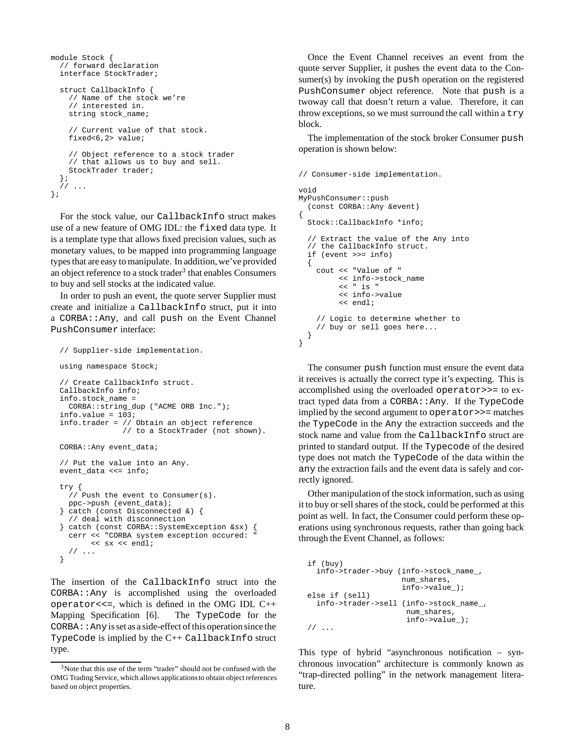```
module Stock {
  // forward declaration
  interface StockTrader;
  struct CallbackInfo {
    // Name of the stock we're
    // interested in.
    string stock_name;
    // Current value of that stock.
    fixed<6,2> value;
    // Object reference to a stock trader
    // that allows us to buy and sell.
    StockTrader trader;
  };
  // ...
};
```
For the stock value, our CallbackInfo struct makes use of a new feature of OMG IDL: the fixed data type. It is a template type that allows fixed precision values, such as monetary values, to be mapped into programming language types that are easy to manipulate. In addition, we've provided an object reference to a stock trader<sup>3</sup> that enables Consumers to buy and sell stocks at the indicated value.

In order to push an event, the quote server Supplier must create and initialize a CallbackInfo struct, put it into a CORBA::Any, and call push on the Event Channel PushConsumer interface:

```
// Supplier-side implementation.
using namespace Stock;
// Create CallbackInfo struct.
CallbackInfo info;
info.stock_name =
 CORBA::string_dup ("ACME ORB Inc.");
info.value = 103;
info.trader = // Obtain an object reference
              // to a StockTrader (not shown).
CORBA::Any event_data;
// Put the value into an Any.
event_data <<= info;
try {
  // Push the event to Consumer(s).
 ppc->push (event_data);
} catch (const Disconnected &) {
  // deal with disconnection
} catch (const CORBA::SystemException &sx) {
  cerr << "CORBA system exception occured: "
      << sx << endl;
  // ...
}
```
The insertion of the CallbackInfo struct into the CORBA::Any is accomplished using the overloaded operator <<=, which is defined in the OMG IDL  $C++$ Mapping Specification [6]. The TypeCode for the  $CORBA: : Any is set as a side-effect of this operation since the$ TypeCode is implied by the C++ CallbackInfo struct type.

Once the Event Channel receives an event from the quote server Supplier, it pushes the event data to the Consumer(s) by invoking the push operation on the registered PushConsumer object reference. Note that push is a twoway call that doesn't return a value. Therefore, it can throw exceptions, so we must surround the call within a try block.

The implementation of the stock broker Consumer push operation is shown below:

```
// Consumer-side implementation.
void
MyPushConsumer::push
  (const CORBA::Any &event)
{
 Stock::CallbackInfo *info;
  // Extract the value of the Any into
  // the CallbackInfo struct.
  if (event >>= info)
 {
    cout << "Value of "
        << info->stock_name
         << " is "
         << info->value
         << endl;
    // Logic to determine whether to
    // buy or sell goes here...
 }
}
```
The consumer push function must ensure the event data it receives is actually the correct type it's expecting. This is accomplished using the overloaded operator>>= to extract typed data from a CORBA::Any. If the TypeCode implied by the second argument to operator>>= matches the TypeCode in the Any the extraction succeeds and the stock name and value from the CallbackInfo struct are printed to standard output. If the Typecode of the desired type does not match the TypeCode of the data within the any the extraction fails and the event data is safely and correctly ignored.

Other manipulation of the stock information, such as using it to buy or sell shares of the stock, could be performed at this point as well. In fact, the Consumer could perform these operations using synchronous requests, rather than going back through the Event Channel, as follows:

```
if (buy)
  info->trader->buy (info->stock_name_,
                     num_shares,
                     info->value_);
else if (sell)
 info->trader->sell (info->stock_name_,
                      num_shares,
                      info->value_);
// ...
```
This type of hybrid "asynchronous notification – synchronous invocation" architecture is commonly known as "trap-directed polling" in the network management literature.

<sup>&</sup>lt;sup>3</sup>Note that this use of the term "trader" should not be confused with the OMG Trading Service, which allows applicationsto obtain object references based on object properties.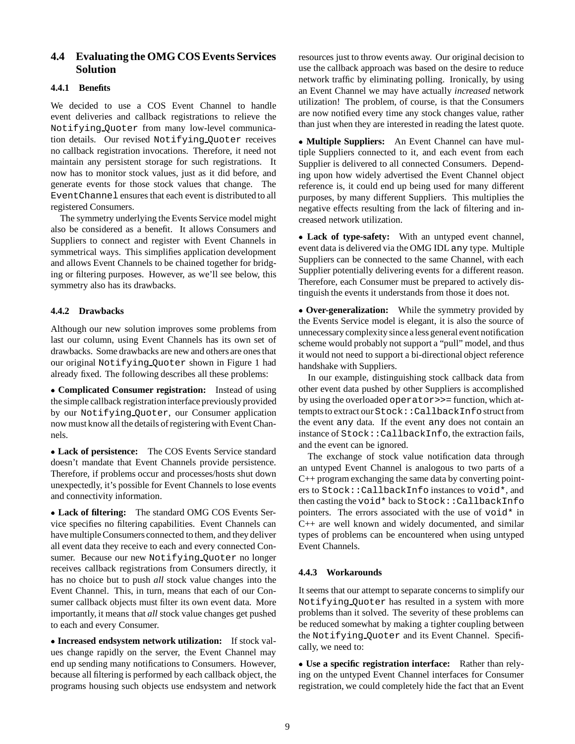### **4.4 Evaluating the OMG COS Events Services Solution**

#### **4.4.1 Benefits**

We decided to use a COS Event Channel to handle event deliveries and callback registrations to relieve the Notifying Quoter from many low-level communication details. Our revised Notifying Quoter receives no callback registration invocations. Therefore, it need not maintain any persistent storage for such registrations. It now has to monitor stock values, just as it did before, and generate events for those stock values that change. The EventChannel ensures that each event is distributed to all registered Consumers.

The symmetry underlying the Events Service model might also be considered as a benefit. It allows Consumers and Suppliers to connect and register with Event Channels in symmetrical ways. This simplifies application development and allows Event Channels to be chained together for bridging or filtering purposes. However, as we'll see below, this symmetry also has its drawbacks.

#### **4.4.2 Drawbacks**

Although our new solution improves some problems from last our column, using Event Channels has its own set of drawbacks. Some drawbacks are new and others are ones that our original Notifying Quoter shown in Figure 1 had already fixed. The following describes all these problems:

 **Complicated Consumer registration:** Instead of using the simple callback registrationinterface previously provided by our Notifying Quoter, our Consumer application now must know all the details of registering with Event Channels.

 **Lack of persistence:** The COS Events Service standard doesn't mandate that Event Channels provide persistence. Therefore, if problems occur and processes/hosts shut down unexpectedly, it's possible for Event Channels to lose events and connectivity information.

 **Lack of filtering:** The standard OMG COS Events Service specifies no filtering capabilities. Event Channels can have multiple Consumers connected to them, and they deliver all event data they receive to each and every connected Consumer. Because our new Notifying Quoter no longer receives callback registrations from Consumers directly, it has no choice but to push *all* stock value changes into the Event Channel. This, in turn, means that each of our Consumer callback objects must filter its own event data. More importantly, it means that *all* stock value changes get pushed to each and every Consumer.

 **Increased endsystem network utilization:** If stock values change rapidly on the server, the Event Channel may end up sending many notifications to Consumers. However, because all filtering is performed by each callback object, the programs housing such objects use endsystem and network

resources just to throw events away. Our original decision to use the callback approach was based on the desire to reduce network traffic by eliminating polling. Ironically, by using an Event Channel we may have actually *increased* network utilization! The problem, of course, is that the Consumers are now notified every time any stock changes value, rather than just when they are interested in reading the latest quote.

 **Multiple Suppliers:** An Event Channel can have multiple Suppliers connected to it, and each event from each Supplier is delivered to all connected Consumers. Depending upon how widely advertised the Event Channel object reference is, it could end up being used for many different purposes, by many different Suppliers. This multiplies the negative effects resulting from the lack of filtering and increased network utilization.

 **Lack of type-safety:** With an untyped event channel, event data is delivered via the OMG IDL any type. Multiple Suppliers can be connected to the same Channel, with each Supplier potentially delivering events for a different reason. Therefore, each Consumer must be prepared to actively distinguish the events it understands from those it does not.

 **Over-generalization:** While the symmetry provided by the Events Service model is elegant, it is also the source of unnecessary complexity since a less general event notification scheme would probably not support a "pull" model, and thus it would not need to support a bi-directional object reference handshake with Suppliers.

In our example, distinguishing stock callback data from other event data pushed by other Suppliers is accomplished by using the overloaded operator>>= function, which attempts to extract our Stock: : CallbackInfo struct from the event any data. If the event any does not contain an instance of Stock::CallbackInfo, the extraction fails, and the event can be ignored.

The exchange of stock value notification data through an untyped Event Channel is analogous to two parts of a C++ program exchanging the same data by converting pointers to Stock::CallbackInfo instances to void\*, and then casting the void\* back to Stock::CallbackInfo pointers. The errors associated with the use of  $\text{void*}$  in C++ are well known and widely documented, and similar types of problems can be encountered when using untyped Event Channels.

#### **4.4.3 Workarounds**

It seems that our attempt to separate concerns to simplify our Notifying Quoter has resulted in a system with more problems than it solved. The severity of these problems can be reduced somewhat by making a tighter coupling between the Notifying Quoter and its Event Channel. Specifically, we need to:

 **Use a specific registration interface:** Rather than relying on the untyped Event Channel interfaces for Consumer registration, we could completely hide the fact that an Event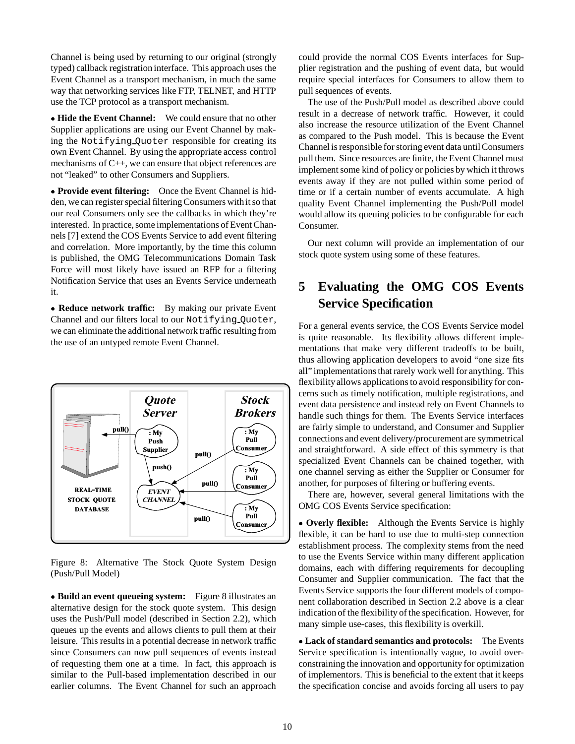Channel is being used by returning to our original (strongly typed) callback registration interface. This approach uses the Event Channel as a transport mechanism, in much the same way that networking services like FTP, TELNET, and HTTP use the TCP protocol as a transport mechanism.

 **Hide the Event Channel:** We could ensure that no other Supplier applications are using our Event Channel by making the Notifying Quoter responsible for creating its own Event Channel. By using the appropriate access control mechanisms of C++, we can ensure that object references are not "leaked" to other Consumers and Suppliers.

 **Provide event filtering:** Once the Event Channel is hidden, we can register special filtering Consumers withit so that our real Consumers only see the callbacks in which they're interested. In practice, some implementations of Event Channels [7] extend the COS Events Service to add event filtering and correlation. More importantly, by the time this column is published, the OMG Telecommunications Domain Task Force will most likely have issued an RFP for a filtering Notification Service that uses an Events Service underneath it.

 **Reduce network traffic:** By making our private Event Channel and our filters local to our Notifying Quoter, we can eliminate the additional network traffic resulting from the use of an untyped remote Event Channel.



Figure 8: Alternative The Stock Quote System Design (Push/Pull Model)

 **Build an event queueing system:** Figure 8 illustrates an alternative design for the stock quote system. This design uses the Push/Pull model (described in Section 2.2), which queues up the events and allows clients to pull them at their leisure. This results in a potential decrease in network traffic since Consumers can now pull sequences of events instead of requesting them one at a time. In fact, this approach is similar to the Pull-based implementation described in our earlier columns. The Event Channel for such an approach could provide the normal COS Events interfaces for Supplier registration and the pushing of event data, but would require special interfaces for Consumers to allow them to pull sequences of events.

The use of the Push/Pull model as described above could result in a decrease of network traffic. However, it could also increase the resource utilization of the Event Channel as compared to the Push model. This is because the Event Channel is responsible for storing event data until Consumers pull them. Since resources are finite, the Event Channel must implement some kind of policy or policies by which it throws events away if they are not pulled within some period of time or if a certain number of events accumulate. A high quality Event Channel implementing the Push/Pull model would allow its queuing policies to be configurable for each Consumer.

Our next column will provide an implementation of our stock quote system using some of these features.

# **5 Evaluating the OMG COS Events Service Specification**

For a general events service, the COS Events Service model is quite reasonable. Its flexibility allows different implementations that make very different tradeoffs to be built, thus allowing application developers to avoid "one size fits all" implementations that rarely work well for anything. This flexibilityallows applications to avoid responsibility for concerns such as timely notification, multiple registrations, and event data persistence and instead rely on Event Channels to handle such things for them. The Events Service interfaces are fairly simple to understand, and Consumer and Supplier connections and event delivery/procurement are symmetrical and straightforward. A side effect of this symmetry is that specialized Event Channels can be chained together, with one channel serving as either the Supplier or Consumer for another, for purposes of filtering or buffering events.

There are, however, several general limitations with the OMG COS Events Service specification:

 **Overly flexible:** Although the Events Service is highly flexible, it can be hard to use due to multi-step connection establishment process. The complexity stems from the need to use the Events Service within many different application domains, each with differing requirements for decoupling Consumer and Supplier communication. The fact that the Events Service supports the four different models of component collaboration described in Section 2.2 above is a clear indication of the flexibility of the specification. However, for many simple use-cases, this flexibility is overkill.

 **Lack of standard semantics and protocols:** The Events Service specification is intentionally vague, to avoid overconstraining the innovation and opportunity for optimization of implementors. This is beneficial to the extent that it keeps the specification concise and avoids forcing all users to pay